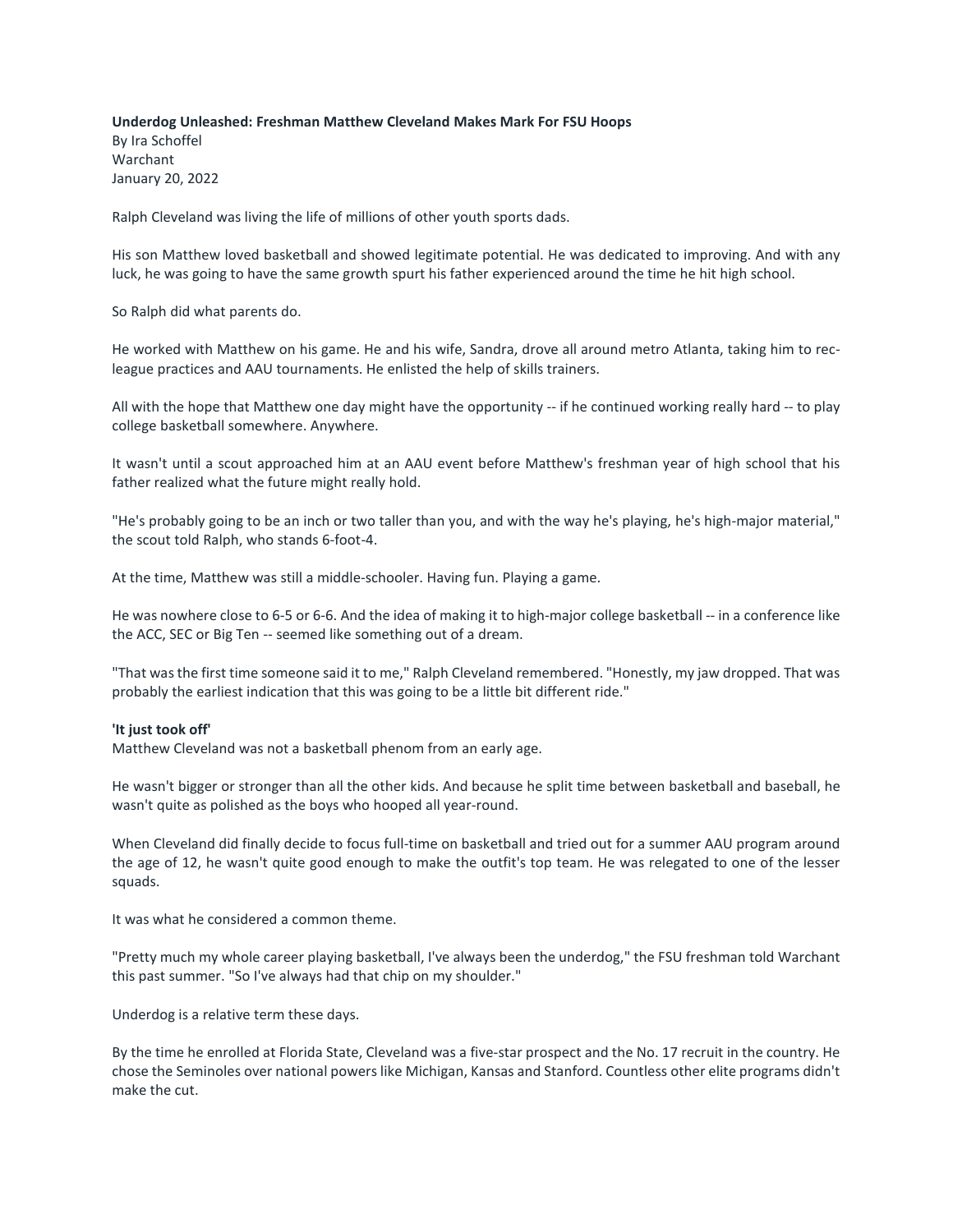## **Underdog Unleashed: Freshman Matthew Cleveland Makes Mark For FSU Hoops**

By Ira Schoffel Warchant January 20, 2022

Ralph Cleveland was living the life of millions of other youth sports dads.

His son Matthew loved basketball and showed legitimate potential. He was dedicated to improving. And with any luck, he was going to have the same growth spurt his father experienced around the time he hit high school.

So Ralph did what parents do.

He worked with Matthew on his game. He and his wife, Sandra, drove all around metro Atlanta, taking him to recleague practices and AAU tournaments. He enlisted the help of skills trainers.

All with the hope that Matthew one day might have the opportunity -- if he continued working really hard -- to play college basketball somewhere. Anywhere.

It wasn't until a scout approached him at an AAU event before Matthew's freshman year of high school that his father realized what the future might really hold.

"He's probably going to be an inch or two taller than you, and with the way he's playing, he's high-major material," the scout told Ralph, who stands 6-foot-4.

At the time, Matthew was still a middle-schooler. Having fun. Playing a game.

He was nowhere close to 6-5 or 6-6. And the idea of making it to high-major college basketball -- in a conference like the ACC, SEC or Big Ten -- seemed like something out of a dream.

"That was the first time someone said it to me," Ralph Cleveland remembered. "Honestly, my jaw dropped. That was probably the earliest indication that this was going to be a little bit different ride."

## **'It just took off'**

Matthew Cleveland was not a basketball phenom from an early age.

He wasn't bigger or stronger than all the other kids. And because he split time between basketball and baseball, he wasn't quite as polished as the boys who hooped all year-round.

When Cleveland did finally decide to focus full-time on basketball and tried out for a summer AAU program around the age of 12, he wasn't quite good enough to make the outfit's top team. He was relegated to one of the lesser squads.

It was what he considered a common theme.

"Pretty much my whole career playing basketball, I've always been the underdog," the FSU freshman told Warchant this past summer. "So I've always had that chip on my shoulder."

Underdog is a relative term these days.

By the time he enrolled at Florida State, Cleveland was a five-star prospect and the No. 17 recruit in the country. He chose the Seminoles over national powers like Michigan, Kansas and Stanford. Countless other elite programs didn't make the cut.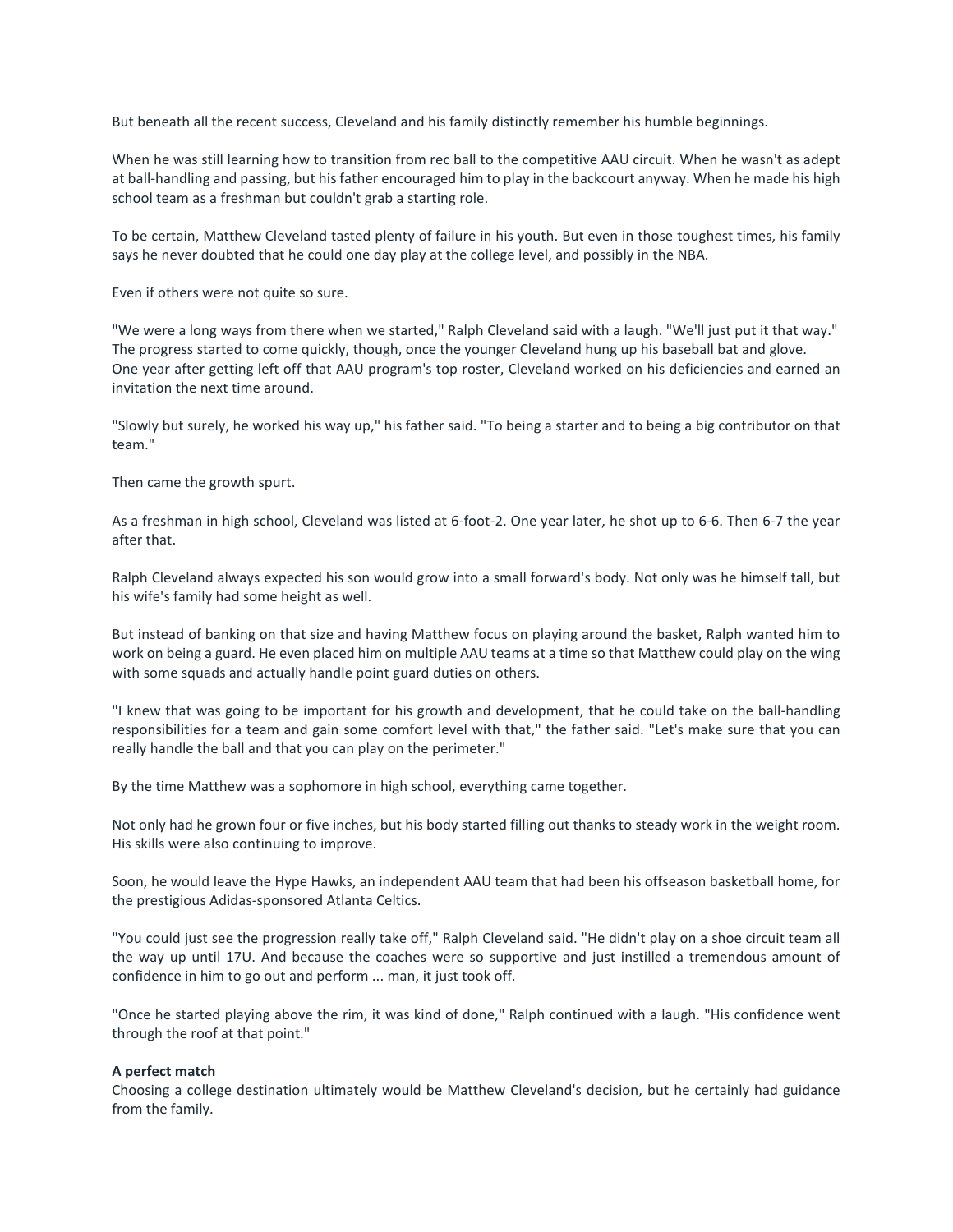But beneath all the recent success, Cleveland and his family distinctly remember his humble beginnings.

When he was still learning how to transition from rec ball to the competitive AAU circuit. When he wasn't as adept at ball-handling and passing, but his father encouraged him to play in the backcourt anyway. When he made his high school team as a freshman but couldn't grab a starting role.

To be certain, Matthew Cleveland tasted plenty of failure in his youth. But even in those toughest times, his family says he never doubted that he could one day play at the college level, and possibly in the NBA.

Even if others were not quite so sure.

"We were a long ways from there when we started," Ralph Cleveland said with a laugh. "We'll just put it that way." The progress started to come quickly, though, once the younger Cleveland hung up his baseball bat and glove. One year after getting left off that AAU program's top roster, Cleveland worked on his deficiencies and earned an invitation the next time around.

"Slowly but surely, he worked his way up," his father said. "To being a starter and to being a big contributor on that team."

Then came the growth spurt.

As a freshman in high school, Cleveland was listed at 6-foot-2. One year later, he shot up to 6-6. Then 6-7 the year after that.

Ralph Cleveland always expected his son would grow into a small forward's body. Not only was he himself tall, but his wife's family had some height as well.

But instead of banking on that size and having Matthew focus on playing around the basket, Ralph wanted him to work on being a guard. He even placed him on multiple AAU teams at a time so that Matthew could play on the wing with some squads and actually handle point guard duties on others.

"I knew that was going to be important for his growth and development, that he could take on the ball-handling responsibilities for a team and gain some comfort level with that," the father said. "Let's make sure that you can really handle the ball and that you can play on the perimeter."

By the time Matthew was a sophomore in high school, everything came together.

Not only had he grown four or five inches, but his body started filling out thanks to steady work in the weight room. His skills were also continuing to improve.

Soon, he would leave the Hype Hawks, an independent AAU team that had been his offseason basketball home, for the prestigious Adidas-sponsored Atlanta Celtics.

"You could just see the progression really take off," Ralph Cleveland said. "He didn't play on a shoe circuit team all the way up until 17U. And because the coaches were so supportive and just instilled a tremendous amount of confidence in him to go out and perform ... man, it just took off.

"Once he started playing above the rim, it was kind of done," Ralph continued with a laugh. "His confidence went through the roof at that point."

## **A perfect match**

Choosing a college destination ultimately would be Matthew Cleveland's decision, but he certainly had guidance from the family.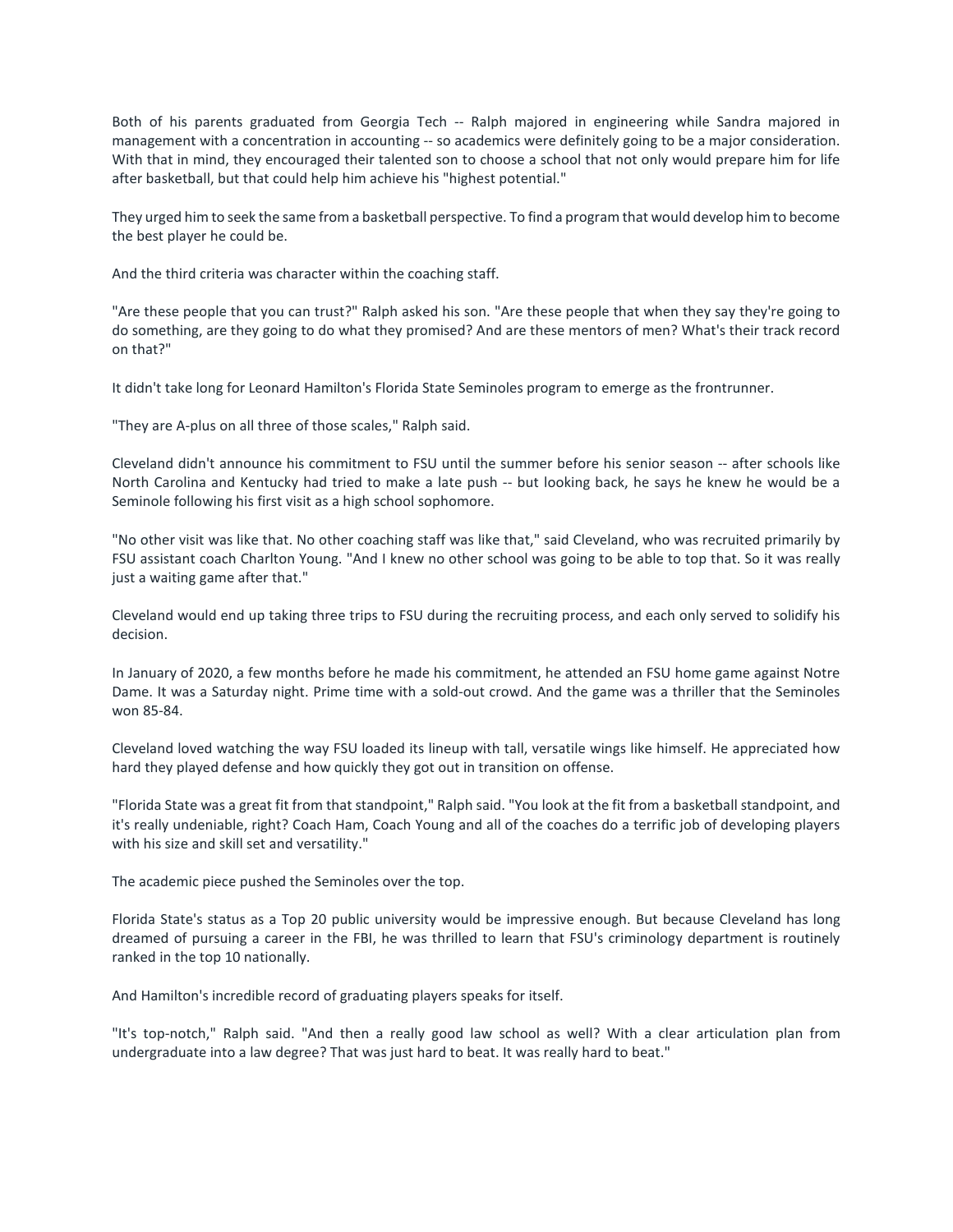Both of his parents graduated from Georgia Tech -- Ralph majored in engineering while Sandra majored in management with a concentration in accounting -- so academics were definitely going to be a major consideration. With that in mind, they encouraged their talented son to choose a school that not only would prepare him for life after basketball, but that could help him achieve his "highest potential."

They urged him to seek the same from a basketball perspective. To find a program that would develop him to become the best player he could be.

And the third criteria was character within the coaching staff.

"Are these people that you can trust?" Ralph asked his son. "Are these people that when they say they're going to do something, are they going to do what they promised? And are these mentors of men? What's their track record on that?"

It didn't take long for Leonard Hamilton's Florida State Seminoles program to emerge as the frontrunner.

"They are A-plus on all three of those scales," Ralph said.

Cleveland didn't announce his commitment to FSU until the summer before his senior season -- after schools like North Carolina and Kentucky had tried to make a late push -- but looking back, he says he knew he would be a Seminole following his first visit as a high school sophomore.

"No other visit was like that. No other coaching staff was like that," said Cleveland, who was recruited primarily by FSU assistant coach Charlton Young. "And I knew no other school was going to be able to top that. So it was really just a waiting game after that."

Cleveland would end up taking three trips to FSU during the recruiting process, and each only served to solidify his decision.

In January of 2020, a few months before he made his commitment, he attended an FSU home game against Notre Dame. It was a Saturday night. Prime time with a sold-out crowd. And the game was a thriller that the Seminoles won 85-84.

Cleveland loved watching the way FSU loaded its lineup with tall, versatile wings like himself. He appreciated how hard they played defense and how quickly they got out in transition on offense.

"Florida State was a great fit from that standpoint," Ralph said. "You look at the fit from a basketball standpoint, and it's really undeniable, right? Coach Ham, Coach Young and all of the coaches do a terrific job of developing players with his size and skill set and versatility."

The academic piece pushed the Seminoles over the top.

Florida State's status as a Top 20 public university would be impressive enough. But because Cleveland has long dreamed of pursuing a career in the FBI, he was thrilled to learn that FSU's criminology department is routinely ranked in the top 10 nationally.

And Hamilton's incredible record of graduating players speaks for itself.

"It's top-notch," Ralph said. "And then a really good law school as well? With a clear articulation plan from undergraduate into a law degree? That was just hard to beat. It was really hard to beat."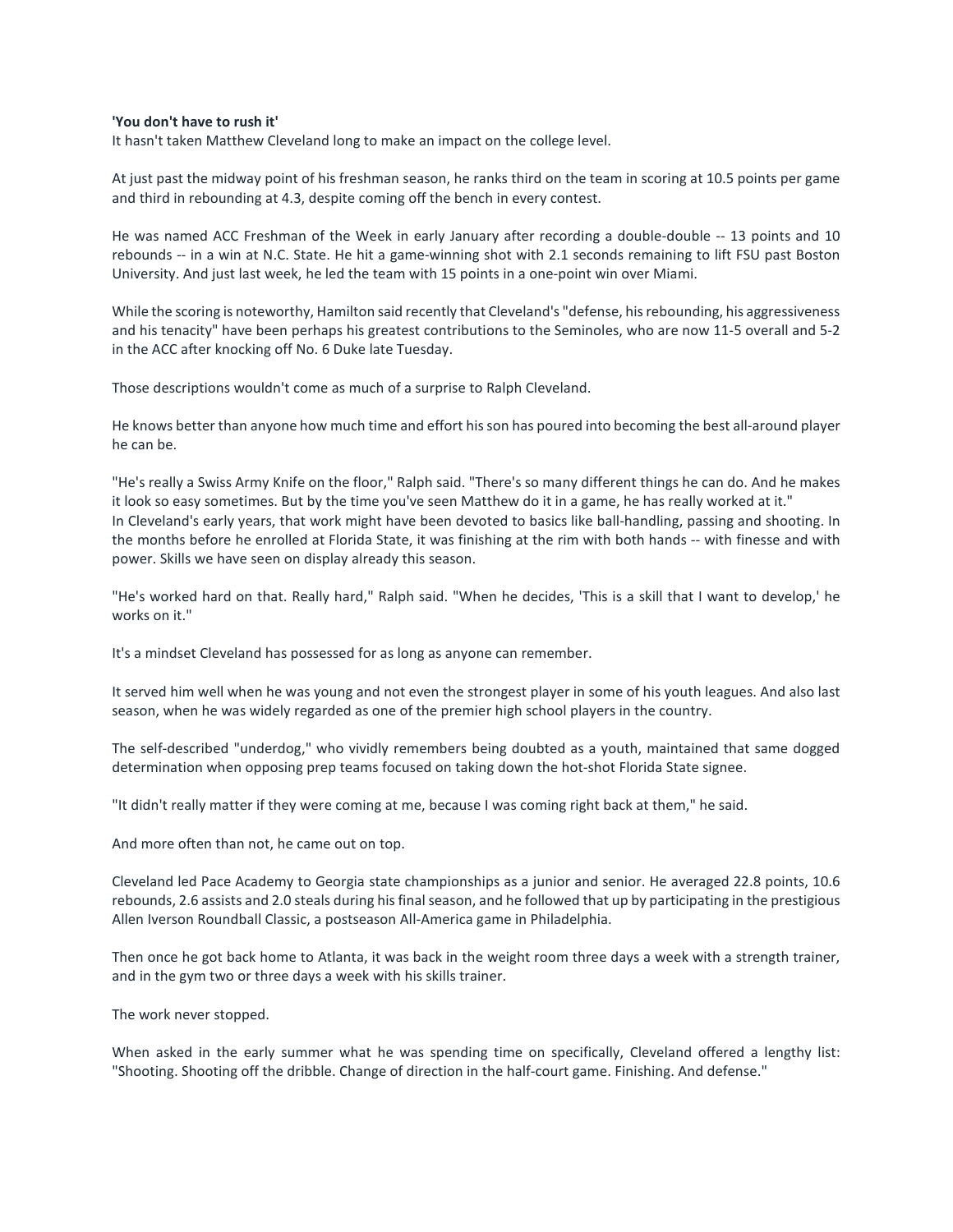## **'You don't have to rush it'**

It hasn't taken Matthew Cleveland long to make an impact on the college level.

At just past the midway point of his freshman season, he ranks third on the team in scoring at 10.5 points per game and third in rebounding at 4.3, despite coming off the bench in every contest.

He was named ACC Freshman of the Week in early January after recording a double-double -- 13 points and 10 rebounds -- in a win at N.C. State. He hit a game-winning shot with 2.1 seconds remaining to lift FSU past Boston University. And just last week, he led the team with 15 points in a one-point win over Miami.

While the scoring is noteworthy, Hamilton said recently that Cleveland's "defense, his rebounding, his aggressiveness and his tenacity" have been perhaps his greatest contributions to the Seminoles, who are now 11-5 overall and 5-2 in the ACC after knocking off No. 6 Duke late Tuesday.

Those descriptions wouldn't come as much of a surprise to Ralph Cleveland.

He knows better than anyone how much time and effort his son has poured into becoming the best all-around player he can be.

"He's really a Swiss Army Knife on the floor," Ralph said. "There's so many different things he can do. And he makes it look so easy sometimes. But by the time you've seen Matthew do it in a game, he has really worked at it." In Cleveland's early years, that work might have been devoted to basics like ball-handling, passing and shooting. In the months before he enrolled at Florida State, it was finishing at the rim with both hands -- with finesse and with power. Skills we have seen on display already this season.

"He's worked hard on that. Really hard," Ralph said. "When he decides, 'This is a skill that I want to develop,' he works on it."

It's a mindset Cleveland has possessed for as long as anyone can remember.

It served him well when he was young and not even the strongest player in some of his youth leagues. And also last season, when he was widely regarded as one of the premier high school players in the country.

The self-described "underdog," who vividly remembers being doubted as a youth, maintained that same dogged determination when opposing prep teams focused on taking down the hot-shot Florida State signee.

"It didn't really matter if they were coming at me, because I was coming right back at them," he said.

And more often than not, he came out on top.

Cleveland led Pace Academy to Georgia state championships as a junior and senior. He averaged 22.8 points, 10.6 rebounds, 2.6 assists and 2.0 steals during his final season, and he followed that up by participating in the prestigious Allen Iverson Roundball Classic, a postseason All-America game in Philadelphia.

Then once he got back home to Atlanta, it was back in the weight room three days a week with a strength trainer, and in the gym two or three days a week with his skills trainer.

The work never stopped.

When asked in the early summer what he was spending time on specifically, Cleveland offered a lengthy list: "Shooting. Shooting off the dribble. Change of direction in the half-court game. Finishing. And defense."